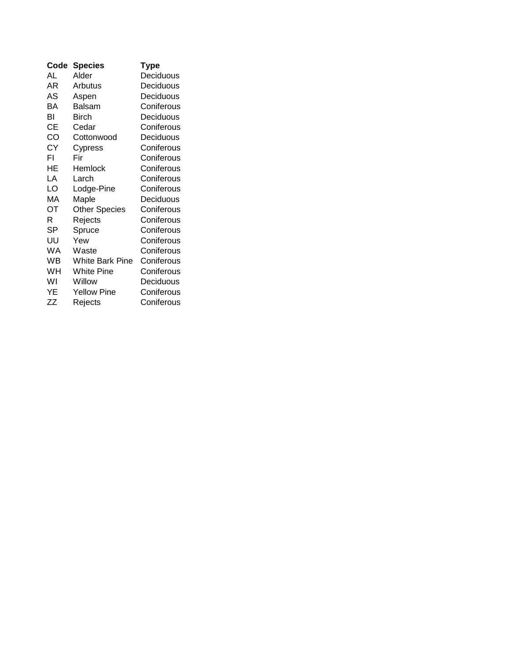| Code      | <b>Species</b>       | Type       |
|-----------|----------------------|------------|
| AL        | Alder                | Deciduous  |
| AR        | Arbutus              | Deciduous  |
| AS        | Aspen                | Deciduous  |
| ΒA        | <b>Balsam</b>        | Coniferous |
| BI        | Birch                | Deciduous  |
| CЕ        | Cedar                | Coniferous |
| CO        | Cottonwood           | Deciduous  |
| <b>CY</b> | Cypress              | Coniferous |
| FI        | Fir                  | Coniferous |
| HE        | Hemlock              | Coniferous |
| LA        | Larch                | Coniferous |
| LO        | Lodge-Pine           | Coniferous |
| МA        | Maple                | Deciduous  |
| OТ        | <b>Other Species</b> | Coniferous |
| R         | Rejects              | Coniferous |
| SP        | Spruce               | Coniferous |
| UU        | Yew                  | Coniferous |
| WA        | Waste                | Coniferous |
| WB        | White Bark Pine      | Coniferous |
| WH        | White Pine           | Coniferous |
| W١        | Willow               | Deciduous  |
| YΕ        | <b>Yellow Pine</b>   | Coniferous |
| ZΖ        | Rejects              | Coniferous |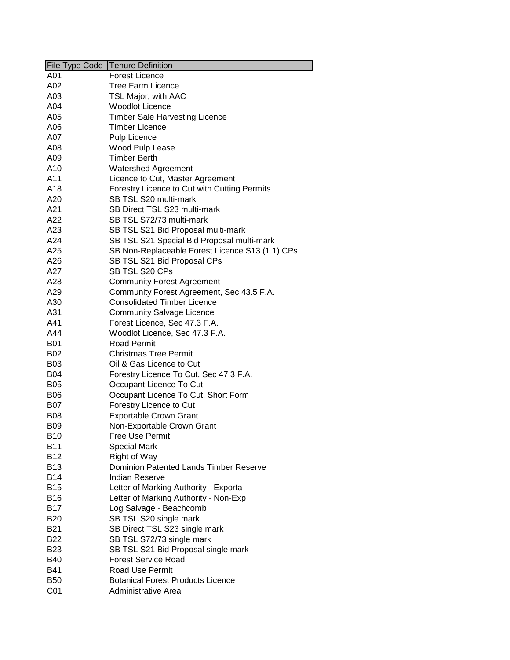| File Type Code  | Tenure Definition                               |
|-----------------|-------------------------------------------------|
| A01             | Forest Licence                                  |
| A02             | <b>Tree Farm Licence</b>                        |
| A03             | TSL Major, with AAC                             |
| A04             | <b>Woodlot Licence</b>                          |
| A05             | <b>Timber Sale Harvesting Licence</b>           |
| A06             | <b>Timber Licence</b>                           |
| A07             | Pulp Licence                                    |
| A08             | Wood Pulp Lease                                 |
| A09             | <b>Timber Berth</b>                             |
| A10             | <b>Watershed Agreement</b>                      |
| A11             | Licence to Cut, Master Agreement                |
| A18             | Forestry Licence to Cut with Cutting Permits    |
| A20             | SB TSL S20 multi-mark                           |
| A21             | SB Direct TSL S23 multi-mark                    |
| A22             | SB TSL S72/73 multi-mark                        |
| A23             | SB TSL S21 Bid Proposal multi-mark              |
| A24             | SB TSL S21 Special Bid Proposal multi-mark      |
| A25             | SB Non-Replaceable Forest Licence S13 (1.1) CPs |
| A26             | SB TSL S21 Bid Proposal CPs                     |
| A27             | SB TSL S20 CPs                                  |
| A28             | <b>Community Forest Agreement</b>               |
| A29             | Community Forest Agreement, Sec 43.5 F.A.       |
| A30             | <b>Consolidated Timber Licence</b>              |
| A31             | <b>Community Salvage Licence</b>                |
| A41             | Forest Licence, Sec 47.3 F.A.                   |
| A44             | Woodlot Licence, Sec 47.3 F.A.                  |
| B01             | <b>Road Permit</b>                              |
| B02             | <b>Christmas Tree Permit</b>                    |
| <b>B03</b>      | Oil & Gas Licence to Cut                        |
| <b>B04</b>      | Forestry Licence To Cut, Sec 47.3 F.A.          |
| <b>B05</b>      | Occupant Licence To Cut                         |
| <b>B06</b>      | Occupant Licence To Cut, Short Form             |
| B07             | Forestry Licence to Cut                         |
| B08             | <b>Exportable Crown Grant</b>                   |
| <b>B09</b>      | Non-Exportable Crown Grant                      |
| <b>B10</b>      | Free Use Permit                                 |
| <b>B11</b>      | <b>Special Mark</b>                             |
| <b>B12</b>      | Right of Way                                    |
| <b>B13</b>      | <b>Dominion Patented Lands Timber Reserve</b>   |
| <b>B14</b>      | <b>Indian Reserve</b>                           |
| <b>B15</b>      | Letter of Marking Authority - Exporta           |
| <b>B16</b>      | Letter of Marking Authority - Non-Exp           |
| <b>B17</b>      | Log Salvage - Beachcomb                         |
| <b>B20</b>      | SB TSL S20 single mark                          |
| <b>B21</b>      | SB Direct TSL S23 single mark                   |
| <b>B22</b>      | SB TSL S72/73 single mark                       |
| <b>B23</b>      | SB TSL S21 Bid Proposal single mark             |
| <b>B40</b>      | <b>Forest Service Road</b>                      |
| <b>B41</b>      | <b>Road Use Permit</b>                          |
| <b>B50</b>      | <b>Botanical Forest Products Licence</b>        |
| C <sub>01</sub> | Administrative Area                             |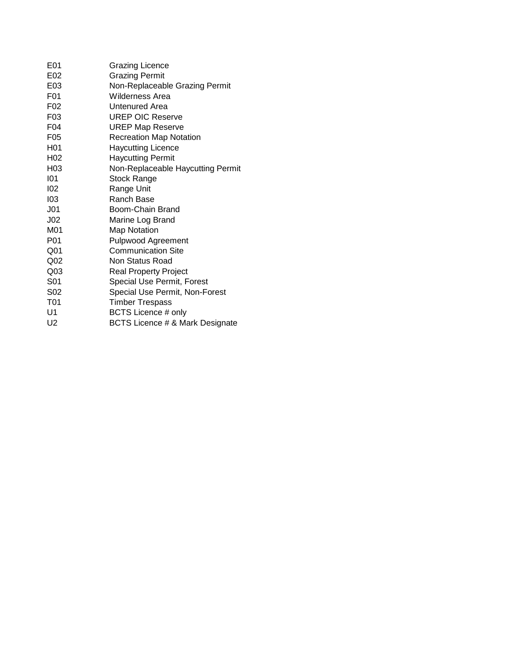| E01              | <b>Grazing Licence</b>            |
|------------------|-----------------------------------|
| E02              | <b>Grazing Permit</b>             |
| E03              | Non-Replaceable Grazing Permit    |
| F <sub>0</sub> 1 | Wilderness Area                   |
| F <sub>02</sub>  | Untenured Area                    |
| F <sub>03</sub>  | <b>UREP OIC Reserve</b>           |
| F04              | <b>UREP Map Reserve</b>           |
| F <sub>05</sub>  | <b>Recreation Map Notation</b>    |
| H <sub>0</sub> 1 | <b>Haycutting Licence</b>         |
| H <sub>02</sub>  | <b>Haycutting Permit</b>          |
| H03              | Non-Replaceable Haycutting Permit |
| 101              | <b>Stock Range</b>                |
| 102              | Range Unit                        |
| 103              | Ranch Base                        |
| J <sub>01</sub>  | Boom-Chain Brand                  |
| J <sub>02</sub>  | Marine Log Brand                  |
| M <sub>0</sub> 1 | <b>Map Notation</b>               |
| P <sub>0</sub> 1 | <b>Pulpwood Agreement</b>         |
| Q <sub>01</sub>  | <b>Communication Site</b>         |
| Q <sub>02</sub>  | Non Status Road                   |
| Q <sub>03</sub>  | <b>Real Property Project</b>      |
| S <sub>01</sub>  | Special Use Permit, Forest        |
| S <sub>02</sub>  | Special Use Permit, Non-Forest    |
| T <sub>01</sub>  | <b>Timber Trespass</b>            |
| U <sub>1</sub>   | <b>BCTS Licence # only</b>        |
| U <sub>2</sub>   | BCTS Licence # & Mark Designate   |